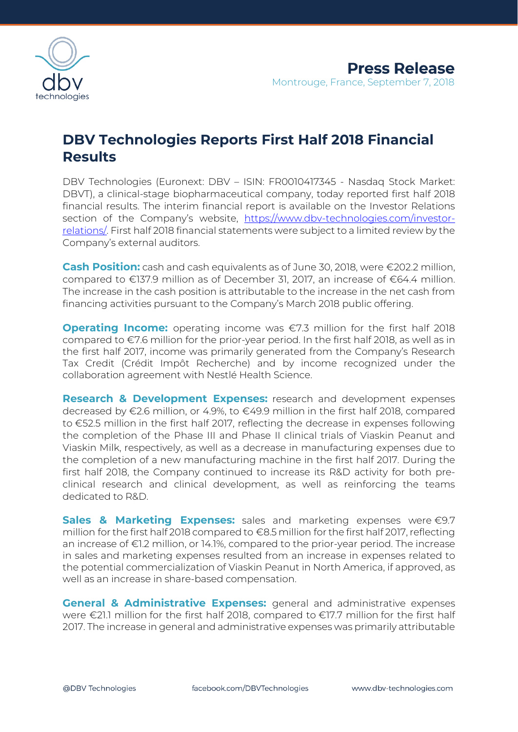

## **DBV Technologies Reports First Half 2018 Financial Results**

DBV Technologies (Euronext: DBV – ISIN: FR0010417345 - Nasdaq Stock Market: DBVT), a clinical-stage biopharmaceutical company, today reported first half 2018 financial results. The interim financial report is available on the Investor Relations section of the Company's website, [https://www.dbv-technologies.com/investor](https://www.dbv-technologies.com/investor-relations/)[relations/.](https://www.dbv-technologies.com/investor-relations/) First half 2018 financial statements were subject to a limited review by the Company's external auditors.

**Cash Position:** cash and cash equivalents as of June 30, 2018, were €202.2 million, compared to €137.9 million as of December 31, 2017, an increase of €64.4 million. The increase in the cash position is attributable to the increase in the net cash from financing activities pursuant to the Company's March 2018 public offering.

**Operating Income:** operating income was €7.3 million for the first half 2018 compared to €7.6 million for the prior-year period. In the first half 2018, as well as in the first half 2017, income was primarily generated from the Company's Research Tax Credit (Crédit Impôt Recherche) and by income recognized under the collaboration agreement with Nestlé Health Science.

**Research & Development Expenses:** research and development expenses decreased by €2.6 million, or 4.9%, to €49.9 million in the first half 2018, compared to €52.5 million in the first half 2017, reflecting the decrease in expenses following the completion of the Phase III and Phase II clinical trials of Viaskin Peanut and Viaskin Milk, respectively, as well as a decrease in manufacturing expenses due to the completion of a new manufacturing machine in the first half 2017. During the first half 2018, the Company continued to increase its R&D activity for both preclinical research and clinical development, as well as reinforcing the teams dedicated to R&D.

**Sales & Marketing Expenses:** sales and marketing expenses were €9.7 million for the first half 2018 compared to €8.5 million for the first half 2017, reflecting an increase of €1.2 million, or 14.1%, compared to the prior-year period. The increase in sales and marketing expenses resulted from an increase in expenses related to the potential commercialization of Viaskin Peanut in North America, if approved, as well as an increase in share-based compensation.

**General & Administrative Expenses:** general and administrative expenses were €21.1 million for the first half 2018, compared to €17.7 million for the first half 2017. The increase in general and administrative expenses was primarily attributable